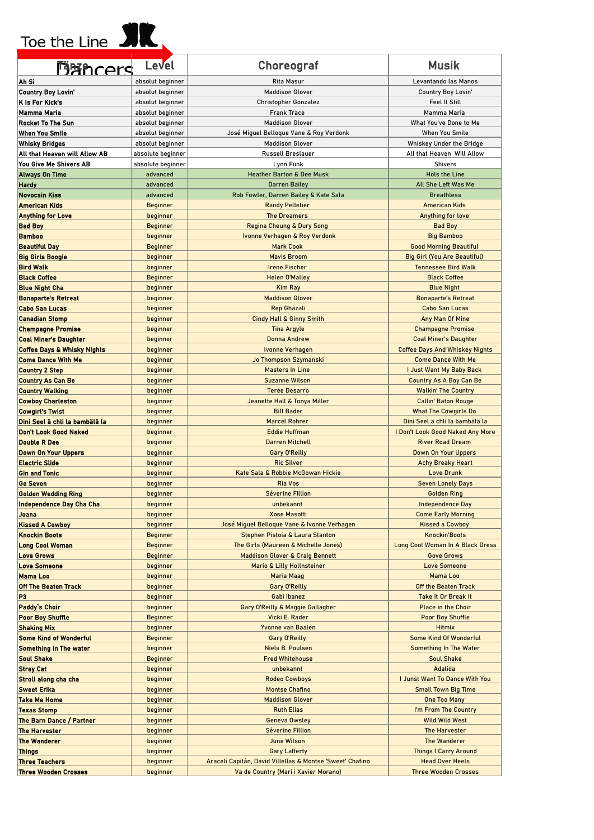#### Toe the Line **SIR**

| <b>Mithcers</b>                                     | Level                       | <b>Choreograf</b>                                             | <b>Musik</b>                                          |
|-----------------------------------------------------|-----------------------------|---------------------------------------------------------------|-------------------------------------------------------|
| Ah Si                                               | absolut beginner            | Rita Masur                                                    | Levantando las Manos                                  |
| <b>Country Boy Lovin'</b>                           | absolut beginner            | <b>Maddison Glover</b>                                        | Country Boy Lovin'                                    |
| K Is For Kick's                                     | absolut beginner            | <b>Christopher Gonzalez</b>                                   | Feel It Still                                         |
| Mamma Maria                                         | absolut beginner            | <b>Frank Trace</b>                                            | Mamma Maria                                           |
| Rocket To The Sun                                   | absolut beginner            | <b>Maddison Glover</b>                                        | What You've Done to Me                                |
| <b>When You Smile</b>                               | absolut beginner            | José Miguel Belloque Vane & Roy Verdonk                       | When You Smile                                        |
| Whisky Bridges                                      | absolut beginner            | <b>Maddison Glover</b>                                        | Whiskey Under the Bridge                              |
| All that Heaven will Allow AB                       | absolute beginner           | <b>Russell Breslauer</b>                                      | All that Heaven Will Allow                            |
| You Give Me Shivers AB                              | absolute beginner           | Lynn Funk                                                     | <b>Shivers</b>                                        |
| <b>Always On Time</b>                               | advanced                    | <b>Heather Barton &amp; Dee Musk</b>                          | <b>Hols the Line</b>                                  |
| Hardy<br><b>Novocain Kiss</b>                       | advanced<br>advanced        | <b>Darren Bailey</b><br>Rob Fowler, Darren Bailey & Kate Sala | All She Left Was Me<br><b>Breathless</b>              |
| <b>American Kids</b>                                | <b>Beginner</b>             | <b>Randy Pelletier</b>                                        | <b>American Kids</b>                                  |
| <b>Anything for Love</b>                            | beginner                    | <b>The Dreamers</b>                                           | Anything for love                                     |
| <b>Bad Boy</b>                                      | <b>Beginner</b>             | Regina Cheung & Dury Song                                     | <b>Bad Boy</b>                                        |
| <b>Bamboo</b>                                       | beginner                    | Ivonne Verhagen & Roy Verdonk                                 | <b>Big Bamboo</b>                                     |
| <b>Beautiful Day</b>                                | <b>Beginner</b>             | <b>Mark Cook</b>                                              | <b>Good Morning Beautiful</b>                         |
| <b>Big Girls Boogie</b>                             | beginner                    | <b>Mavis Broom</b>                                            | <b>Big Girl (You Are Beautiful)</b>                   |
| <b>Bird Walk</b>                                    | beginner                    | <b>Irene Fischer</b>                                          | <b>Tennessee Bird Walk</b>                            |
| <b>Black Coffee</b>                                 | <b>Beginner</b>             | <b>Helen O'Malley</b>                                         | <b>Black Coffee</b>                                   |
| <b>Blue Night Cha</b>                               | beginner                    | <b>Kim Ray</b>                                                | <b>Blue Night</b>                                     |
| <b>Bonaparte's Retreat</b>                          | beginner                    | <b>Maddison Glover</b>                                        | <b>Bonaparte's Retreat</b>                            |
| <b>Cabo San Lucas</b>                               | beginner                    | <b>Rep Ghazali</b>                                            | <b>Cabo San Lucas</b>                                 |
| <b>Canadian Stomp</b>                               | beginner                    | Cindy Hall & Ginny Smith                                      | Any Man Of Mine                                       |
| <b>Champagne Promise</b>                            | beginner                    | <b>Tina Argyle</b>                                            | <b>Champagne Promise</b>                              |
| <b>Coal Miner's Daughter</b>                        | beginner                    | Donna Andrew                                                  | <b>Coal Miner's Daughter</b>                          |
| <b>Coffee Days &amp; Whisky Nights</b>              | beginner                    | Ivonne Verhagen                                               | <b>Coffee Days And Whiskey Nights</b>                 |
| <b>Come Dance With Me</b><br><b>Country 2 Step</b>  | beginner<br>beginner        | Jo Thompson Szymanski<br><b>Masters In Line</b>               | <b>Come Dance With Me</b><br>I Just Want My Baby Back |
| <b>Country As Can Be</b>                            | beginner                    | <b>Suzanne Wilson</b>                                         | <b>Country As A Boy Can Be</b>                        |
| <b>Country Walking</b>                              | beginner                    | <b>Teree Desarro</b>                                          | <b>Walkin' The Country</b>                            |
| <b>Cowboy Charleston</b>                            | beginner                    | Jeanette Hall & Tonya Miller                                  | <b>Callin' Baton Rouge</b>                            |
| <b>Cowgirl's Twist</b>                              | beginner                    | <b>Bill Bader</b>                                             | <b>What The Cowgirls Do</b>                           |
| Dini Seel ä chli la bambälä la                      | beginner                    | <b>Marcel Rohrer</b>                                          | Dini Seel ä chli la bambälä la                        |
| <b>Don't Look Good Naked</b>                        | beginner                    | <b>Eddie Huffman</b>                                          | I Don't Look Good Naked Any More                      |
| <b>Double R Dee</b>                                 | beginner                    | <b>Darren Mitchell</b>                                        | <b>River Road Dream</b>                               |
| <b>Down On Your Uppers</b>                          | beginner                    | Gary O'Reilly                                                 | <b>Down On Your Uppers</b>                            |
| <b>Electric Slide</b>                               | beginner                    | <b>Ric Silver</b>                                             | <b>Achy Breaky Heart</b>                              |
| <b>Gin and Tonic</b>                                | beginner                    | Kate Sala & Robbie McGowan Hickie                             | Love Drunk                                            |
| <b>Go Seven</b>                                     | beginner                    | <b>Ria Vos</b>                                                | <b>Seven Lonely Days</b>                              |
| <b>Golden Wedding Ring</b>                          | beginner                    | <b>Séverine Fillion</b>                                       | <b>Golden Ring</b>                                    |
| Independence Day Cha Cha<br><b>Joana</b>            | beginner<br>beginner        | unbekannt<br><b>Xose Masotti</b>                              | Independence Day<br><b>Come Early Morning</b>         |
| <b>Kissed A Cowboy</b>                              | beginner                    | José Miguel Belloque Vane & Ivonne Verhagen                   | <b>Kissed a Cowboy</b>                                |
| <b>Knockin Boots</b>                                | <b>Beginner</b>             | Stephen Pistoia & Laura Stanton                               | <b>Knockin'Boots</b>                                  |
| <b>Long Cool Woman</b>                              | <b>Beginner</b>             | The Girls (Maureen & Michelle Jones)                          | Long Cool Woman In A Black Dress                      |
| <b>Love Grows</b>                                   | <b>Beginner</b>             | <b>Maddison Glover &amp; Craig Bennett</b>                    | <b>Gove Grows</b>                                     |
| <b>Love Someone</b>                                 | beginner                    | <b>Mario &amp; Lilly Hollnsteiner</b>                         | Love Someone                                          |
| <b>Mama Loo</b>                                     | beginner                    | Maria Maag                                                    | Mama Loo                                              |
| <b>Off The Beaten Track</b>                         | beginner                    | Gary O'Reilly                                                 | Off the Beaten Track                                  |
| P <sub>3</sub>                                      | beginner                    | Gabi Ibanez                                                   | Take It Or Break It                                   |
| Paddy's Choir                                       | beginner                    | Gary O'Reilly & Maggie Gallagher                              | <b>Place in the Choir</b>                             |
| <b>Poor Boy Shuffle</b>                             | <b>Beginner</b>             | Vicki E. Rader                                                | <b>Poor Boy Shuffle</b>                               |
| <b>Shaking Mix</b><br><b>Some Kind of Wonderful</b> | beginner<br><b>Beginner</b> | Yvonne van Baalen<br>Gary O'Reilly                            | <b>Hitmix</b><br>Some Kind Of Wonderful               |
| <b>Something In The water</b>                       | beginner                    | <b>Niels B. Poulsen</b>                                       | Something In The Water                                |
| <b>Soul Shake</b>                                   | <b>Beginner</b>             | <b>Fred Whitehouse</b>                                        | <b>Soul Shake</b>                                     |
| <b>Stray Cat</b>                                    | beginner                    | unbekannt                                                     | Adalida                                               |
| Stroll along cha cha                                | beginner                    | <b>Rodeo Cowboys</b>                                          | I Junst Want To Dance With You                        |
| <b>Sweet Erika</b>                                  | beginner                    | <b>Montse Chafino</b>                                         | <b>Small Town Big Time</b>                            |
| Take Me Home                                        | beginner                    | <b>Maddison Glover</b>                                        | <b>One Too Many</b>                                   |
| <b>Texas Stomp</b>                                  | beginner                    | <b>Ruth Elias</b>                                             | I'm From The Country                                  |
| The Barn Dance / Partner                            | beginner                    | <b>Geneva Owsley</b>                                          | Wild Wild West                                        |
| <b>The Harvester</b>                                | beginner                    | Séverine Fillion                                              | The Harvester                                         |
| The Wanderer                                        | beginner                    | <b>June Wilson</b>                                            | The Wanderer                                          |
| <b>Things</b>                                       | beginner                    | <b>Gary Lafferty</b>                                          | <b>Things I Carry Around</b>                          |
| <b>Three Teachers</b>                               | beginner                    | Araceli Capitán, David Villellas & Montse 'Sweet' Chafino     | <b>Head Over Heels</b>                                |
| <b>Three Wooden Crosses</b>                         | beginner                    | Va de Country (Mari i Xavier Morano)                          | <b>Three Wooden Crosses</b>                           |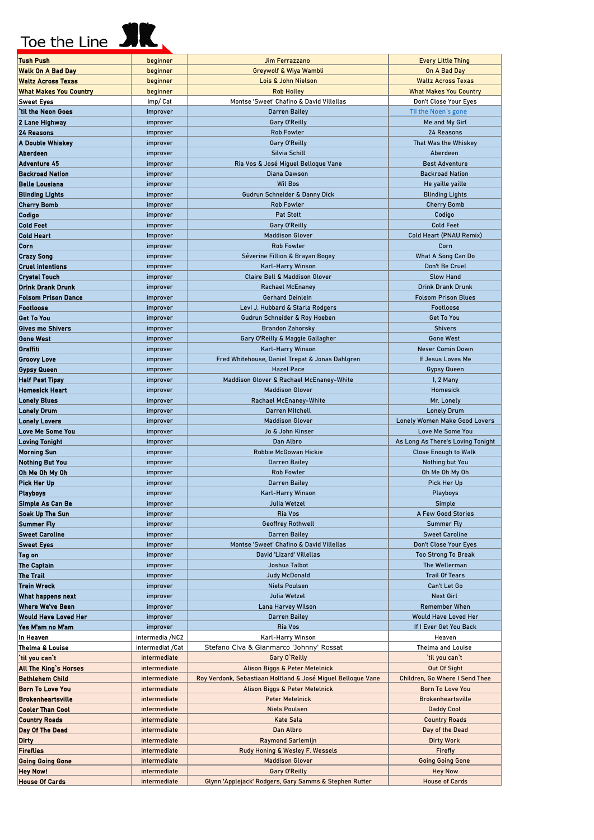#### Toe the Line **SR**

Fireflies

**Hey Nowl** 

**Going Going Gone** 

**House Of Cards** 

intermediate

intermediate

intermediate

intermediate

| Tush Push                                              | beginner             | Jim Ferrazzano                                                | <b>Every Little Thing</b>            |
|--------------------------------------------------------|----------------------|---------------------------------------------------------------|--------------------------------------|
| Walk On A Bad Day                                      | beginner             | Greywolf & Wiya Wambli                                        | On A Bad Day                         |
| <b>Waltz Across Texas</b>                              | beginner             | Lois & John Nielson                                           | <b>Waltz Across Texas</b>            |
| <b>What Makes You Country</b>                          | beginner             | <b>Rob Holley</b>                                             | <b>What Makes You Country</b>        |
| Sweet Eyes                                             | imp/ Cat             | Montse 'Sweet' Chafino & David Villellas                      | Don't Close Your Eyes                |
| `til the Neon Goes                                     | Improver             | <b>Darren Bailey</b>                                          | Til the Noen's gone                  |
| 2 Lane Highway                                         | improver             | Gary O'Reilly                                                 | Me and My Girl                       |
| 24 Reasons                                             | improver             | <b>Rob Fowler</b>                                             | 24 Reasons                           |
| A Double Whiskey                                       | improver             | Gary O'Reilly                                                 | That Was the Whiskey                 |
| Aberdeen                                               | improver             | Silvia Schill                                                 | Aberdeen                             |
| Adventure 45                                           | improver             | Ria Vos & José Miguel Belloque Vane                           | <b>Best Adventure</b>                |
| <b>Backroad Nation</b>                                 | improver             | Diana Dawson                                                  | <b>Backroad Nation</b>               |
| <b>Belle Lousiana</b>                                  | improver             | <b>Wil Bos</b>                                                | He yaille yaille                     |
| <b>Blinding Lights</b>                                 | improver             | Gudrun Schneider & Danny Dick                                 | <b>Blinding Lights</b>               |
| <b>Cherry Bomb</b>                                     | improver             | <b>Rob Fowler</b>                                             | <b>Cherry Bomb</b>                   |
| Codigo                                                 | improver             | <b>Pat Stott</b>                                              | Codigo                               |
| <b>Cold Feet</b>                                       | improver             | Gary O'Reilly                                                 | <b>Cold Feet</b>                     |
| <b>Cold Heart</b>                                      | Improver             | <b>Maddison Glover</b>                                        | Cold Heart (PNAU Remix)              |
| Corn                                                   | improver             | <b>Rob Fowler</b>                                             | Corn                                 |
| Crazy Song                                             | improver             | Séverine Fillion & Brayan Bogey                               | What A Song Can Do                   |
| <b>Cruel intentions</b>                                | improver             | Karl-Harry Winson<br><b>Claire Bell &amp; Maddison Glover</b> | Don't Be Cruel<br><b>Slow Hand</b>   |
| <b>Crystal Touch</b>                                   | improver             |                                                               | <b>Drink Drank Drunk</b>             |
| <b>Drink Drank Drunk</b><br><b>Folsom Prison Dance</b> | improver             | <b>Rachael McEnaney</b><br><b>Gerhard Deinlein</b>            | <b>Folsom Prison Blues</b>           |
| Footloose                                              | improver<br>improver | Levi J. Hubbard & Starla Rodgers                              | Footloose                            |
| <b>Get To You</b>                                      | improver             | Gudrun Schneider & Roy Hoeben                                 | <b>Get To You</b>                    |
| <b>Gives me Shivers</b>                                | improver             | <b>Brandon Zahorsky</b>                                       | <b>Shivers</b>                       |
| <b>Gone West</b>                                       | improver             | Gary O'Reilly & Maggie Gallagher                              | <b>Gone West</b>                     |
| Graffiti                                               | improver             | Karl-Harry Winson                                             | Never Comin Down                     |
| <b>Groovy Love</b>                                     | improver             | Fred Whitehouse, Daniel Trepat & Jonas Dahlgren               | If Jesus Loves Me                    |
| Gypsy Queen                                            | improver             | <b>Hazel Pace</b>                                             | Gypsy Queen                          |
| <b>Half Past Tipsy</b>                                 | improver             | Maddison Glover & Rachael McEnaney-White                      | 1, 2 Many                            |
| Homesick Heart                                         | improver             | <b>Maddison Glover</b>                                        | Homesick                             |
| <b>Lonely Blues</b>                                    | improver             | <b>Rachael McEnaney-White</b>                                 | Mr. Lonely                           |
| <b>Lonely Drum</b>                                     | improver             | Darren Mitchell                                               | <b>Lonely Drum</b>                   |
| <b>Lonely Lovers</b>                                   | improver             | <b>Maddison Glover</b>                                        | <b>Lonely Women Make Good Lovers</b> |
| <b>Love Me Some You</b>                                | improver             | Jo & John Kinser                                              | Love Me Some You                     |
| <b>Loving Tonight</b>                                  | improver             | Dan Albro                                                     | As Long As There's Loving Tonight    |
| <b>Morning Sun</b>                                     | improver             | Robbie McGowan Hickie                                         | <b>Close Enough to Walk</b>          |
| <b>Nothing But You</b>                                 | improver             | <b>Darren Bailey</b>                                          | Nothing but You                      |
| Oh Me Oh My Oh                                         | improver             | <b>Rob Fowler</b>                                             | Oh Me Oh My Oh                       |
| Pick Her Up                                            | improver             | <b>Darren Bailey</b>                                          | Pick Her Up                          |
| <b>Playboys</b>                                        | improver             | Karl-Harry Winson                                             | Playboys                             |
| Simple As Can Be                                       | improver             | Julia Wetzel                                                  | Simple                               |
| Soak Up The Sun                                        | improver             | Ria Vos                                                       | A Few Good Stories                   |
| Summer Fly                                             | improver             | <b>Geoffrey Rothwell</b>                                      | <b>Summer Fly</b>                    |
| <b>Sweet Caroline</b>                                  | improver             | Darren Bailey                                                 | <b>Sweet Caroline</b>                |
| <b>Sweet Eyes</b>                                      | improver             | Montse 'Sweet' Chafino & David Villellas                      | Don't Close Your Eyes                |
| Tag on                                                 | improver             | David 'Lizard' Villellas                                      | <b>Too Strong To Break</b>           |
| The Captain                                            | improver             | Joshua Talbot                                                 | The Wellerman                        |
| The Trail                                              | improver             | <b>Judy McDonald</b>                                          | <b>Trail Of Tears</b>                |
| Train Wreck                                            | improver             | <b>Niels Poulsen</b>                                          | Can't Let Go<br><b>Next Girl</b>     |
| What happens next<br>Where We've Been                  | improver<br>improver | Julia Wetzel<br>Lana Harvey Wilson                            | Remember When                        |
| Would Have Loved Her                                   | improver             | Darren Bailey                                                 | Would Have Loved Her                 |
| Yes M'am no M'am                                       | improver             | Ria Vos                                                       | If I Ever Get You Back               |
| In Heaven                                              | intermedia /NC2      | Karl-Harry Winson                                             | Heaven                               |
| Thelma & Louise                                        | intermediat /Cat     | Stefano Civa & Gianmarco 'Johnny' Rossat                      | Thelma and Louise                    |
| `til you can`t                                         | intermediate         | Gary O'Reilly                                                 | `til you can`t                       |
| All The King's Horses                                  | intermediate         | Alison Biggs & Peter Metelnick                                | Out Of Sight                         |
| Bethlehem Child                                        | intermediate         | Roy Verdonk, Sebastiaan Holtland & José Miguel Belloque Vane  | Children, Go Where I Send Thee       |
| <b>Born To Love You</b>                                | intermediate         | Alison Biggs & Peter Metelnick                                | <b>Born To Love You</b>              |
| <b>Brokenheartsville</b>                               | intermediate         | <b>Peter Metelnick</b>                                        | <b>Brokenheartsville</b>             |
| <b>Cooler Than Cool</b>                                | intermediate         | <b>Niels Poulsen</b>                                          | <b>Daddy Cool</b>                    |
| <b>Country Roads</b>                                   | intermediate         | Kate Sala                                                     | <b>Country Roads</b>                 |
| Day Of The Dead                                        | intermediate         | Dan Albro                                                     | Day of the Dead                      |
| <b>Dirty</b>                                           | intermediate         | <b>Raymond Sarlemijn</b>                                      | <b>Dirty Work</b>                    |

Rudy Honing & Wesley F. Wessels

**Maddison Glover** 

**Gary O'Reilly** 

Glynn 'Applejack' Rodgers, Gary Samms & Stephen Rutter

Firefly

**Going Going Gone** 

Hey Now

**House of Cards**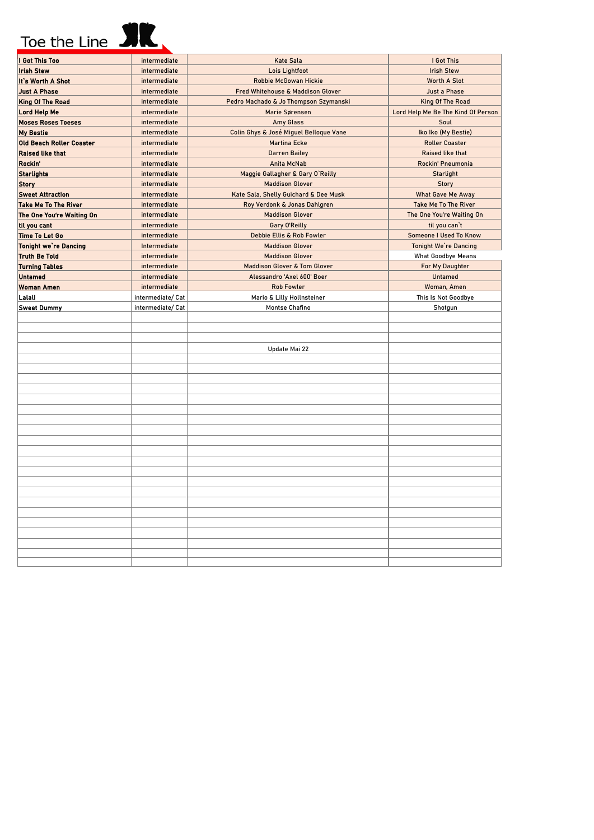## Toe the Line **SIC**

| I Got This Too                  | intermediate     | <b>Kate Sala</b>                        | I Got This                         |
|---------------------------------|------------------|-----------------------------------------|------------------------------------|
| <b>Irish Stew</b>               | intermediate     | Lois Lightfoot                          | <b>Irish Stew</b>                  |
| It's Worth A Shot               | intermediate     | <b>Robbie McGowan Hickie</b>            | <b>Worth A Slot</b>                |
| <b>Just A Phase</b>             | intermediate     | Fred Whitehouse & Maddison Glover       | Just a Phase                       |
| <b>King Of The Road</b>         | intermediate     | Pedro Machado & Jo Thompson Szymanski   | King Of The Road                   |
| <b>Lord Help Me</b>             | intermediate     | Marie Sørensen                          | Lord Help Me Be The Kind Of Person |
| <b>Moses Roses Toeses</b>       | intermediate     | <b>Amy Glass</b>                        | Soul                               |
| <b>My Bestie</b>                | intermediate     | Colin Ghys & José Miguel Belloque Vane  | Iko Iko (My Bestie)                |
| <b>Old Beach Roller Coaster</b> | intermediate     | <b>Martina Ecke</b>                     | <b>Roller Coaster</b>              |
| <b>Raised like that</b>         | intermediate     | <b>Darren Bailey</b>                    | <b>Raised like that</b>            |
| Rockin'                         | intermediate     | Anita McNab                             | Rockin' Pneumonia                  |
| <b>Starlights</b>               | intermediate     | Maggie Gallagher & Gary O'Reilly        | <b>Starlight</b>                   |
| <b>Story</b>                    | intermediate     | <b>Maddison Glover</b>                  | <b>Story</b>                       |
| <b>Sweet Attraction</b>         | intermediate     | Kate Sala, Shelly Guichard & Dee Musk   | <b>What Gave Me Away</b>           |
| <b>Take Me To The River</b>     | intermediate     | Roy Verdonk & Jonas Dahlgren            | <b>Take Me To The River</b>        |
| The One You're Waiting On       | intermediate     | <b>Maddison Glover</b>                  | The One You're Waiting On          |
| til you cant                    | intermediate     | Gary O'Reilly                           | til you can't                      |
| Time To Let Go                  | intermediate     | Debbie Ellis & Rob Fowler               | <b>Someone I Used To Know</b>      |
| <b>Tonight we're Dancing</b>    | Intermediate     | <b>Maddison Glover</b>                  | <b>Tonight We're Dancing</b>       |
| <b>Truth Be Told</b>            | intermediate     | <b>Maddison Glover</b>                  | <b>What Goodbye Means</b>          |
| <b>Turning Tables</b>           | intermediate     | <b>Maddison Glover &amp; Tom Glover</b> | For My Daughter                    |
| <b>Untamed</b>                  | intermediate     | Alessandro 'Axel 600' Boer              | Untamed                            |
| <b>Woman Amen</b>               | intermediate     | <b>Rob Fowler</b>                       | Woman, Amen                        |
| Lalali                          | intermediate/Cat | Mario & Lilly Hollnsteiner              | This Is Not Goodbye                |
| <b>Sweet Dummy</b>              | intermediate/Cat | Montse Chafino                          | Shotgun                            |
|                                 |                  |                                         |                                    |
|                                 |                  |                                         |                                    |
|                                 |                  |                                         |                                    |
|                                 |                  | Update Mai 22                           |                                    |
|                                 |                  |                                         |                                    |
|                                 |                  |                                         |                                    |
|                                 |                  |                                         |                                    |
|                                 |                  |                                         |                                    |
|                                 |                  |                                         |                                    |
|                                 |                  |                                         |                                    |
|                                 |                  |                                         |                                    |
|                                 |                  |                                         |                                    |
|                                 |                  |                                         |                                    |
|                                 |                  |                                         |                                    |
|                                 |                  |                                         |                                    |
|                                 |                  |                                         |                                    |
|                                 |                  |                                         |                                    |
|                                 |                  |                                         |                                    |
|                                 |                  |                                         |                                    |
|                                 |                  |                                         |                                    |
|                                 |                  |                                         |                                    |
|                                 |                  |                                         |                                    |
|                                 |                  |                                         |                                    |
|                                 |                  |                                         |                                    |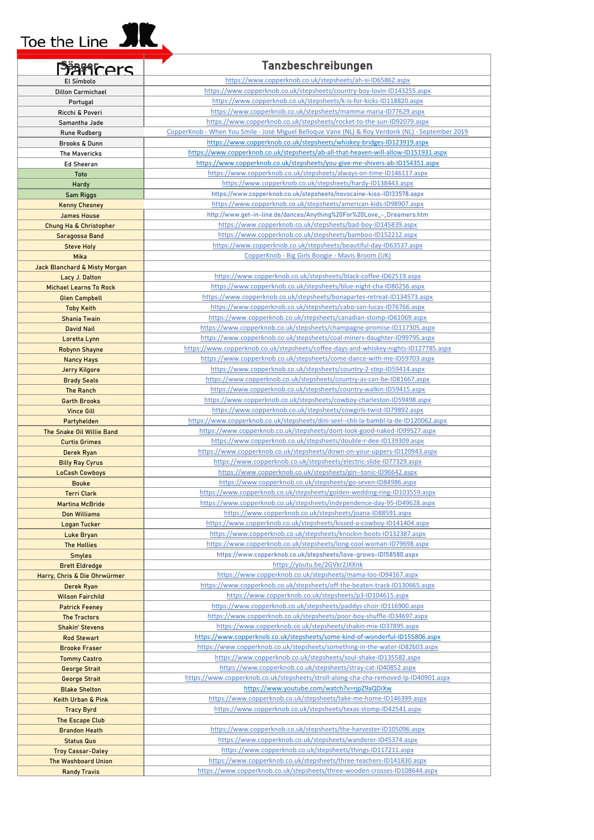## Toe the Line **SIL**

L

| <b>Panters</b>                                  | Tanzbeschreibungen                                                                                                                              |
|-------------------------------------------------|-------------------------------------------------------------------------------------------------------------------------------------------------|
| El Símbolo                                      | https://www.copperknob.co.uk/stepsheets/ah-si-ID65862.aspx                                                                                      |
| <b>Dillon Carmichael</b>                        | https://www.copperknob.co.uk/stepsheets/country-boy-lovin-ID143255.aspx                                                                         |
| Portugal                                        | https://www.copperknob.co.uk/stepsheets/k-is-for-kicks-ID118820.aspx                                                                            |
| Ricchi & Poveri                                 | https://www.copperknob.co.uk/stepsheets/mamma-maria-ID77629.aspx                                                                                |
| Samantha Jade                                   | https://www.copperknob.co.uk/stepsheets/rocket-to-the-sun-ID92079.aspx                                                                          |
| Rune Rudberg                                    | CopperKnob - When You Smile - José Miguel Belloque Vane (NL) & Roy Verdonk (NL) - September 2019                                                |
| Brooks & Dunn                                   | https://www.copperknob.co.uk/stepsheets/whiskey-bridges-ID123919.aspx                                                                           |
| The Mavericks                                   | https://www.copperknob.co.uk/stepsheets/ab-all-that-heaven-will-allow-ID151931.aspx                                                             |
| <b>Ed Sheeran</b>                               | https://www.copperknob.co.uk/stepsheets/you-give-me-shivers-ab-ID154351.aspx                                                                    |
| Toto                                            | https://www.copperknob.co.uk/stepsheets/always-on-time-ID146117.aspx                                                                            |
| Hardy                                           | https://www.copperknob.co.uk/stepsheets/hardy-ID138443.aspx                                                                                     |
| Sam Riggs                                       | https://www.copperknob.co.uk/stepsheets/novocaine-kiss-ID133578.aspx                                                                            |
| <b>Kenny Chesney</b>                            | https://www.copperknob.co.uk/stepsheets/american-kids-ID98907.aspx                                                                              |
| <b>James House</b>                              | http://www.get-in-line.de/dances/Anything%20For%20Love_-_Dreamers.htm                                                                           |
| Chung Ha & Christopher                          | https://www.copperknob.co.uk/stepsheets/bad-boy-ID145839.aspx                                                                                   |
| Saragossa Band                                  | https://www.copperknob.co.uk/stepsheets/bamboo-ID152212.aspx<br>https://www.copperknob.co.uk/stepsheets/beautiful-day-ID63537.aspx              |
| <b>Steve Holy</b><br>Mika                       | CopperKnob - Big Girls Boogie - Mavis Broom (UK)                                                                                                |
|                                                 |                                                                                                                                                 |
| Jack Blanchard & Misty Morgan<br>Lacy J. Dalton | https://www.copperknob.co.uk/stepsheets/black-coffee-ID62519.aspx                                                                               |
| <b>Michael Learns To Rock</b>                   | https://www.copperknob.co.uk/stepsheets/blue-night-cha-ID80256.aspx                                                                             |
| <b>Glen Campbell</b>                            | https://www.copperknob.co.uk/stepsheets/bonapartes-retreat-ID134573.aspx                                                                        |
| <b>Toby Keith</b>                               | https://www.copperknob.co.uk/stepsheets/cabo-san-lucas-ID76766.aspx                                                                             |
| <b>Shania Twain</b>                             | https://www.copperknob.co.uk/stepsheets/canadian-stomp-ID61069.aspx                                                                             |
| <b>David Nail</b>                               | https://www.copperknob.co.uk/stepsheets/champagne-promise-ID117305.aspx                                                                         |
| Loretta Lynn                                    | https://www.copperknob.co.uk/stepsheets/coal-miners-daughter-ID99795.aspx                                                                       |
| <b>Robynn Shayne</b>                            | https://www.copperknob.co.uk/stepsheets/coffee-days-and-whiskey-nights-ID127785.aspx                                                            |
| <b>Nancy Hays</b>                               | https://www.copperknob.co.uk/stepsheets/come-dance-with-me-ID59703.aspx                                                                         |
| Jerry Kilgore                                   | https://www.copperknob.co.uk/stepsheets/country-2-step-ID59414.aspx                                                                             |
| <b>Brady Seals</b>                              | https://www.copperknob.co.uk/stepsheets/country-as-can-be-ID81667.aspx                                                                          |
| <b>The Ranch</b>                                | https://www.copperknob.co.uk/stepsheets/country-walkin-ID59415.aspx                                                                             |
| <b>Garth Brooks</b>                             | https://www.copperknob.co.uk/stepsheets/cowboy-charleston-ID59498.aspx                                                                          |
| <b>Vince Gill</b>                               | https://www.copperknob.co.uk/stepsheets/cowgirls-twist-ID79892.aspx                                                                             |
| Partyhelden                                     | https://www.copperknob.co.uk/stepsheets/dini-seel--chli-la-bambl-la-de-ID120062.aspx                                                            |
| The Snake Oil Willie Band                       | https://www.copperknob.co.uk/stepsheets/dont-look-good-naked-ID99527.aspx                                                                       |
| <b>Curtis Grimes</b>                            | https://www.copperknob.co.uk/stepsheets/double-r-dee-ID139309.aspx<br>https://www.copperknob.co.uk/stepsheets/down-on-your-uppers-ID120943.aspx |
| Derek Ryan<br><b>Billy Ray Cyrus</b>            | https://www.copperknob.co.uk/stepsheets/electric-slide-ID77329.aspx                                                                             |
| <b>LoCash Cowboys</b>                           | https://www.copperknob.co.uk/stepsheets/gin--tonic-ID96642.aspx                                                                                 |
| <b>Bouke</b>                                    | https://www.copperknob.co.uk/stepsheets/go-seven-ID84986.aspx                                                                                   |
| <b>Terri Clark</b>                              | https://www.copperknob.co.uk/stepsheets/golden-wedding-ring-ID103559.aspx                                                                       |
| <b>Martina McBride</b>                          | https://www.copperknob.co.uk/stepsheets/independence-day-95-ID49628.aspx                                                                        |
| <b>Don Williams</b>                             | https://www.copperknob.co.uk/stepsheets/joana-ID88591.aspx                                                                                      |
| <b>Logan Tucker</b>                             | https://www.copperknob.co.uk/stepsheets/kissed-a-cowboy-ID141404.aspx                                                                           |
| Luke Bryan                                      | https://www.copperknob.co.uk/stepsheets/knockin-boots-ID132387.aspx                                                                             |
| <b>The Hollies</b>                              | https://www.copperknob.co.uk/stepsheets/long-cool-woman-ID79698.aspx                                                                            |
| <b>Smyles</b>                                   | https://www.copperknob.co.uk/stepsheets/love-grows-ID158580.aspx                                                                                |
| <b>Brett Eldredge</b>                           | https://youtu.be/2GVkr2JXXnk                                                                                                                    |
| Harry, Chris & Die Ohrwürmer                    | https://www.copperknob.co.uk/stepsheets/mama-loo-ID94167.aspx                                                                                   |
| Derek Ryan                                      | https://www.copperknob.co.uk/stepsheets/off-the-beaten-track-ID130665.aspx                                                                      |
| <b>Wilson Fairchild</b>                         | https://www.copperknob.co.uk/stepsheets/p3-ID104615.aspx<br>https://www.copperknob.co.uk/stepsheets/paddys-choir-ID116900.aspx                  |
| <b>Patrick Feeney</b><br><b>The Tractors</b>    | https://www.copperknob.co.uk/stepsheets/poor-boy-shuffle-ID34697.aspx                                                                           |
| <b>Shakin' Stevens</b>                          | https://www.copperknob.co.uk/stepsheets/shakin-mix-ID37895.aspx                                                                                 |
| <b>Rod Stewart</b>                              | https://www.copperknob.co.uk/stepsheets/some-kind-of-wonderful-ID155806.aspx                                                                    |
| <b>Brooke Fraser</b>                            | https://www.copperknob.co.uk/stepsheets/something-in-the-water-ID82603.aspx                                                                     |
| <b>Tommy Castro</b>                             | https://www.copperknob.co.uk/stepsheets/soul-shake-ID135582.aspx                                                                                |
| <b>George Strait</b>                            | https://www.copperknob.co.uk/stepsheets/stray-cat-ID40852.aspx                                                                                  |
| <b>George Strait</b>                            | https://www.copperknob.co.uk/stepsheets/stroll-along-cha-cha-removed-lp-ID40901.aspx                                                            |
| <b>Blake Shelton</b>                            | https://www.youtube.com/watch?v=rjpZ9aQDiXw                                                                                                     |
| Keith Urban & Pink                              | https://www.copperknob.co.uk/stepsheets/take-me-home-ID146399.aspx                                                                              |
| <b>Tracy Byrd</b>                               | https://www.copperknob.co.uk/stepsheets/texas-stomp-ID42541.aspx                                                                                |
| The Escape Club                                 |                                                                                                                                                 |
| <b>Brandon Heath</b>                            | https://www.copperknob.co.uk/stepsheets/the-harvester-ID105096.aspx                                                                             |
| <b>Status Quo</b>                               | https://www.copperknob.co.uk/stepsheets/wanderer-ID45374.aspx                                                                                   |
| <b>Troy Cassar-Daley</b>                        | https://www.copperknob.co.uk/stepsheets/things-ID117211.aspx                                                                                    |
| <b>The Washboard Union</b>                      | https://www.copperknob.co.uk/stepsheets/three-teachers-ID141830.aspx                                                                            |
| <b>Randy Travis</b>                             | https://www.copperknob.co.uk/stepsheets/three-wooden-crosses-ID108644.aspx                                                                      |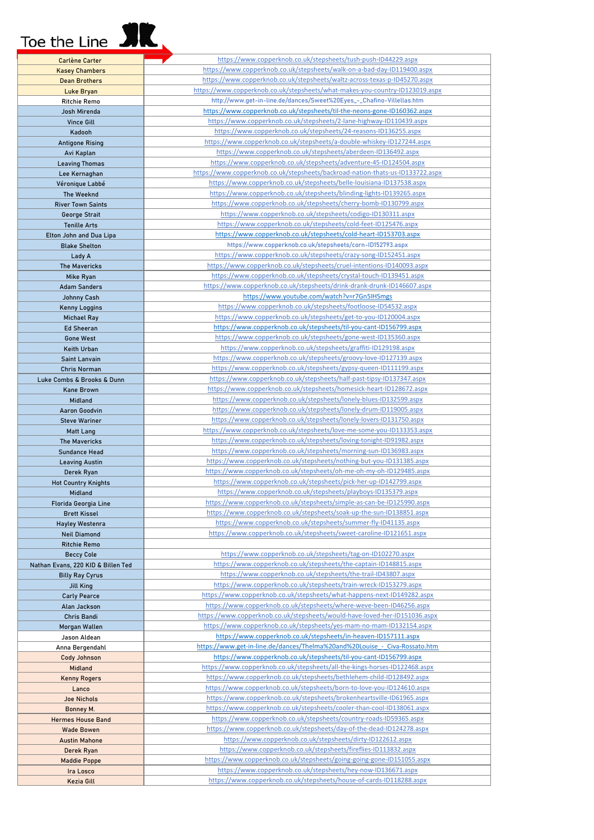## Toe the Line **SIR**

|                                    | https://www.copperknob.co.uk/stepsheets/tush-push-ID44229.aspx                 |
|------------------------------------|--------------------------------------------------------------------------------|
| <b>Carlène Carter</b>              |                                                                                |
| <b>Kasey Chambers</b>              | https://www.copperknob.co.uk/stepsheets/walk-on-a-bad-day-ID119400.aspx        |
| <b>Dean Brothers</b>               | https://www.copperknob.co.uk/stepsheets/waltz-across-texas-p-ID45270.aspx      |
|                                    |                                                                                |
| Luke Bryan                         | https://www.copperknob.co.uk/stepsheets/what-makes-you-country-ID123019.aspx   |
| <b>Ritchie Remo</b>                | http://www.get-in-line.de/dances/Sweet%20Eyes_-_Chafino-Villellas.htm          |
|                                    |                                                                                |
| Josh Mirenda                       | https://www.copperknob.co.uk/stepsheets/til-the-neons-gone-ID160362.aspx       |
| <b>Vince Gill</b>                  | https://www.copperknob.co.uk/stepsheets/2-lane-highway-ID110439.aspx           |
|                                    |                                                                                |
| Kadooh                             | https://www.copperknob.co.uk/stepsheets/24-reasons-ID136255.aspx               |
| <b>Antigone Rising</b>             | https://www.copperknob.co.uk/stepsheets/a-double-whiskey-ID127244.aspx         |
|                                    |                                                                                |
| Avi Kaplan                         | https://www.copperknob.co.uk/stepsheets/aberdeen-ID136492.aspx                 |
| <b>Leaving Thomas</b>              | https://www.copperknob.co.uk/stepsheets/adventure-45-ID124504.aspx             |
|                                    |                                                                                |
| Lee Kernaghan                      | https://www.copperknob.co.uk/stepsheets/backroad-nation-thats-us-ID133722.aspx |
| Véronique Labbé                    | https://www.copperknob.co.uk/stepsheets/belle-louisiana-ID137538.aspx          |
|                                    |                                                                                |
| The Weeknd                         | https://www.copperknob.co.uk/stepsheets/blinding-lights-ID139265.aspx          |
| <b>River Town Saints</b>           | https://www.copperknob.co.uk/stepsheets/cherry-bomb-ID130799.aspx              |
|                                    | https://www.copperknob.co.uk/stepsheets/codigo-ID130311.aspx                   |
| George Strait                      |                                                                                |
| <b>Tenille Arts</b>                | https://www.copperknob.co.uk/stepsheets/cold-feet-ID125476.aspx                |
| Elton John and Dua Lipa            | https://www.copperknob.co.uk/stepsheets/cold-heart-ID153703.aspx               |
|                                    |                                                                                |
| <b>Blake Shelton</b>               | https://www.copperknob.co.uk/stepsheets/corn-ID152793.aspx                     |
| Lady A                             | https://www.copperknob.co.uk/stepsheets/crazy-song-ID152451.aspx               |
|                                    |                                                                                |
| <b>The Mavericks</b>               | https://www.copperknob.co.uk/stepsheets/cruel-intentions-ID140093.aspx         |
| Mike Ryan                          | https://www.copperknob.co.uk/stepsheets/crystal-touch-ID139451.aspx            |
|                                    |                                                                                |
| <b>Adam Sanders</b>                | https://www.copperknob.co.uk/stepsheets/drink-drank-drunk-ID146607.aspx        |
| <b>Johnny Cash</b>                 | https://www.youtube.com/watch?v=r7Gn5IHSmgs                                    |
|                                    | https://www.copperknob.co.uk/stepsheets/footloose-ID54532.aspx                 |
| <b>Kenny Loggins</b>               |                                                                                |
| <b>Michael Ray</b>                 | https://www.copperknob.co.uk/stepsheets/get-to-you-ID120004.aspx               |
| <b>Ed Sheeran</b>                  | https://www.copperknob.co.uk/stepsheets/til-you-cant-ID156799.aspx             |
|                                    |                                                                                |
| <b>Gone West</b>                   | https://www.copperknob.co.uk/stepsheets/gone-west-ID135360.aspx                |
| Keith Urban                        | https://www.copperknob.co.uk/stepsheets/graffiti-ID129198.aspx                 |
|                                    |                                                                                |
| Saint Lanvain                      | https://www.copperknob.co.uk/stepsheets/groovy-love-ID127139.aspx              |
| <b>Chris Norman</b>                | https://www.copperknob.co.uk/stepsheets/gypsy-queen-ID111199.aspx              |
|                                    | https://www.copperknob.co.uk/stepsheets/half-past-tipsy-ID137347.aspx          |
| Luke Combs & Brooks & Dunn         |                                                                                |
| <b>Kane Brown</b>                  | https://www.copperknob.co.uk/stepsheets/homesick-heart-ID128672.aspx           |
| Midland                            | https://www.copperknob.co.uk/stepsheets/lonely-blues-ID132599.aspx             |
|                                    |                                                                                |
| Aaron Goodvin                      | https://www.copperknob.co.uk/stepsheets/lonely-drum-ID119005.aspx              |
| <b>Steve Wariner</b>               | https://www.copperknob.co.uk/stepsheets/lonely-lovers-ID131750.aspx            |
|                                    | https://www.copperknob.co.uk/stepsheets/love-me-some-you-ID133353.aspx         |
| Matt Lang                          |                                                                                |
| <b>The Mavericks</b>               | https://www.copperknob.co.uk/stepsheets/loving-tonight-ID91982.aspx            |
| <b>Sundance Head</b>               | https://www.copperknob.co.uk/stepsheets/morning-sun-ID136983.aspx              |
|                                    |                                                                                |
| <b>Leaving Austin</b>              | https://www.copperknob.co.uk/stepsheets/nothing-but-you-ID131385.aspx          |
| Derek Ryan                         | https://www.copperknob.co.uk/stepsheets/oh-me-oh-my-oh-ID129485.aspx           |
|                                    |                                                                                |
| <b>Hot Country Knights</b>         | https://www.copperknob.co.uk/stepsheets/pick-her-up-ID142799.aspx              |
| Midland                            | https://www.copperknob.co.uk/stepsheets/playboys-ID135379.aspx                 |
|                                    | https://www.copperknob.co.uk/stepsheets/simple-as-can-be-ID125990.aspx         |
| Florida Georgia Line               |                                                                                |
| <b>Brett Kissel</b>                | https://www.copperknob.co.uk/stepsheets/soak-up-the-sun-ID138851.aspx          |
| <b>Hayley Westenra</b>             | https://www.copperknob.co.uk/stepsheets/summer-fly-ID41135.aspx                |
|                                    |                                                                                |
| <b>Neil Diamond</b>                | https://www.copperknob.co.uk/stepsheets/sweet-caroline-ID121651.aspx           |
| <b>Ritchie Remo</b>                |                                                                                |
|                                    | https://www.copperknob.co.uk/stepsheets/tag-on-ID102270.aspx                   |
| <b>Beccy Cole</b>                  |                                                                                |
| Nathan Evans, 220 KID & Billen Ted | https://www.copperknob.co.uk/stepsheets/the-captain-ID148815.aspx              |
| <b>Billy Ray Cyrus</b>             | https://www.copperknob.co.uk/stepsheets/the-trail-ID43807.aspx                 |
|                                    |                                                                                |
| <b>Jill King</b>                   | https://www.copperknob.co.uk/stepsheets/train-wreck-ID153279.aspx              |
| <b>Carly Pearce</b>                | https://www.copperknob.co.uk/stepsheets/what-happens-next-ID149282.aspx        |
| Alan Jackson                       | https://www.copperknob.co.uk/stepsheets/where-weve-been-ID46256.aspx           |
|                                    |                                                                                |
| Chris Bandi                        | https://www.copperknob.co.uk/stepsheets/would-have-loved-her-ID151036.aspx     |
| Morgan Wallen                      | https://www.copperknob.co.uk/stepsheets/yes-mam-no-mam-ID132154.aspx           |
|                                    |                                                                                |
| Jason Aldean                       | https://www.copperknob.co.uk/stepsheets/in-heaven-ID157111.aspx                |
| Anna Bergendahl                    | https://www.get-in-line.de/dances/Thelma%20and%20Louise - Civa-Rossato.htm     |
|                                    | https://www.copperknob.co.uk/stepsheets/til-you-cant-ID156799.aspx             |
| <b>Cody Johnson</b>                |                                                                                |
| Midland                            | https://www.copperknob.co.uk/stepsheets/all-the-kings-horses-ID122468.aspx     |
| <b>Kenny Rogers</b>                | https://www.copperknob.co.uk/stepsheets/bethlehem-child-ID128492.aspx          |
|                                    |                                                                                |
| Lanco                              | https://www.copperknob.co.uk/stepsheets/born-to-love-you-ID124610.aspx         |
| <b>Joe Nichols</b>                 | https://www.copperknob.co.uk/stepsheets/brokenheartsville-ID61965.aspx         |
|                                    |                                                                                |
| Bonney M.                          | https://www.copperknob.co.uk/stepsheets/cooler-than-cool-ID138061.aspx         |
| <b>Hermes House Band</b>           | https://www.copperknob.co.uk/stepsheets/country-roads-ID59365.aspx             |
|                                    | https://www.copperknob.co.uk/stepsheets/day-of-the-dead-ID124278.aspx          |
| <b>Wade Bowen</b>                  |                                                                                |
| <b>Austin Mahone</b>               | https://www.copperknob.co.uk/stepsheets/dirty-ID122612.aspx                    |
| Derek Ryan                         | https://www.copperknob.co.uk/stepsheets/fireflies-ID113832.aspx                |
|                                    |                                                                                |
| <b>Maddie Poppe</b>                | https://www.copperknob.co.uk/stepsheets/going-going-gone-ID151055.aspx         |
| Ira Losco                          | https://www.copperknob.co.uk/stepsheets/hey-now-ID136671.aspx                  |
|                                    |                                                                                |
| Kezia Gill                         | https://www.copperknob.co.uk/stepsheets/house-of-cards-ID118288.aspx           |